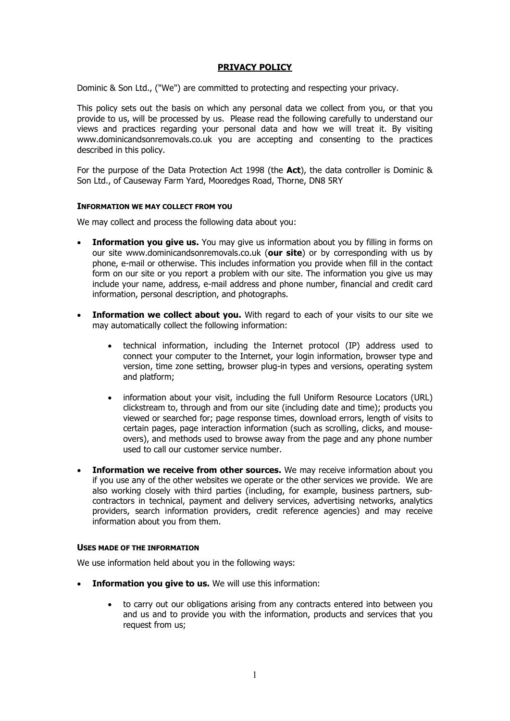# **PRIVACY POLICY**

Dominic & Son Ltd., ("We") are committed to protecting and respecting your privacy.

This policy sets out the basis on which any personal data we collect from you, or that you provide to us, will be processed by us. Please read the following carefully to understand our views and practices regarding your personal data and how we will treat it. By visiting www.dominicandsonremovals.co.uk you are accepting and consenting to the practices described in this policy.

For the purpose of the Data Protection Act 1998 (the **Act**), the data controller is Dominic & Son Ltd., of Causeway Farm Yard, Mooredges Road, Thorne, DN8 5RY

#### **INFORMATION WE MAY COLLECT FROM YOU**

We may collect and process the following data about you:

- **Information you give us.** You may give us information about you by filling in forms on our site www.dominicandsonremovals.co.uk (**our site**) or by corresponding with us by phone, e-mail or otherwise. This includes information you provide when fill in the contact form on our site or you report a problem with our site. The information you give us may include your name, address, e-mail address and phone number, financial and credit card information, personal description, and photographs.
- **Information we collect about you.** With regard to each of your visits to our site we may automatically collect the following information:
	- technical information, including the Internet protocol (IP) address used to connect your computer to the Internet, your login information, browser type and version, time zone setting, browser plug-in types and versions, operating system and platform;
	- information about your visit, including the full Uniform Resource Locators (URL) clickstream to, through and from our site (including date and time); products you viewed or searched for; page response times, download errors, length of visits to certain pages, page interaction information (such as scrolling, clicks, and mouseovers), and methods used to browse away from the page and any phone number used to call our customer service number.
- **Information we receive from other sources.** We may receive information about you if you use any of the other websites we operate or the other services we provide. We are also working closely with third parties (including, for example, business partners, subcontractors in technical, payment and delivery services, advertising networks, analytics providers, search information providers, credit reference agencies) and may receive information about you from them.

#### **USES MADE OF THE INFORMATION**

We use information held about you in the following ways:

- **Information you give to us.** We will use this information:
	- to carry out our obligations arising from any contracts entered into between you and us and to provide you with the information, products and services that you request from us;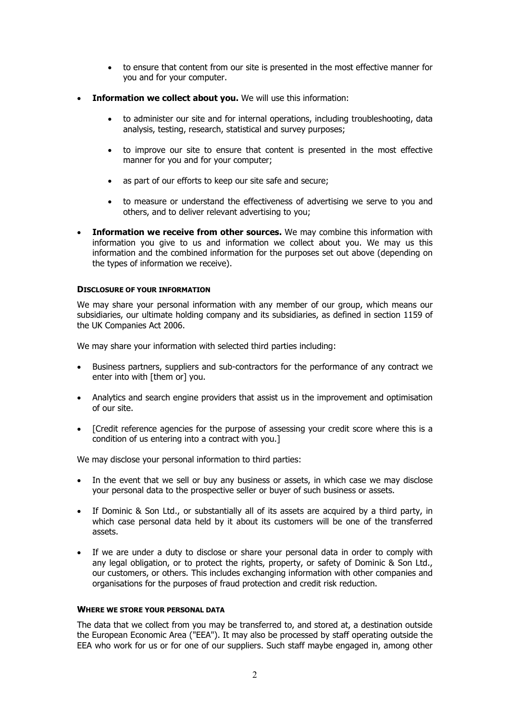- to ensure that content from our site is presented in the most effective manner for you and for your computer.
- **Information we collect about you.** We will use this information:
	- to administer our site and for internal operations, including troubleshooting, data analysis, testing, research, statistical and survey purposes;
	- to improve our site to ensure that content is presented in the most effective manner for you and for your computer;
	- as part of our efforts to keep our site safe and secure;
	- to measure or understand the effectiveness of advertising we serve to you and others, and to deliver relevant advertising to you;
- **Information we receive from other sources.** We may combine this information with information you give to us and information we collect about you. We may us this information and the combined information for the purposes set out above (depending on the types of information we receive).

# **DISCLOSURE OF YOUR INFORMATION**

We may share your personal information with any member of our group, which means our subsidiaries, our ultimate holding company and its subsidiaries, as defined in section 1159 of the UK Companies Act 2006.

We may share your information with selected third parties including:

- Business partners, suppliers and sub-contractors for the performance of any contract we enter into with [them or] you.
- Analytics and search engine providers that assist us in the improvement and optimisation of our site.
- [Credit reference agencies for the purpose of assessing your credit score where this is a condition of us entering into a contract with you.]

We may disclose your personal information to third parties:

- In the event that we sell or buy any business or assets, in which case we may disclose your personal data to the prospective seller or buyer of such business or assets.
- If Dominic & Son Ltd., or substantially all of its assets are acquired by a third party, in which case personal data held by it about its customers will be one of the transferred assets.
- If we are under a duty to disclose or share your personal data in order to comply with any legal obligation, or to protect the rights, property, or safety of Dominic & Son Ltd., our customers, or others. This includes exchanging information with other companies and organisations for the purposes of fraud protection and credit risk reduction.

# **WHERE WE STORE YOUR PERSONAL DATA**

The data that we collect from you may be transferred to, and stored at, a destination outside the European Economic Area ("EEA"). It may also be processed by staff operating outside the EEA who work for us or for one of our suppliers. Such staff maybe engaged in, among other